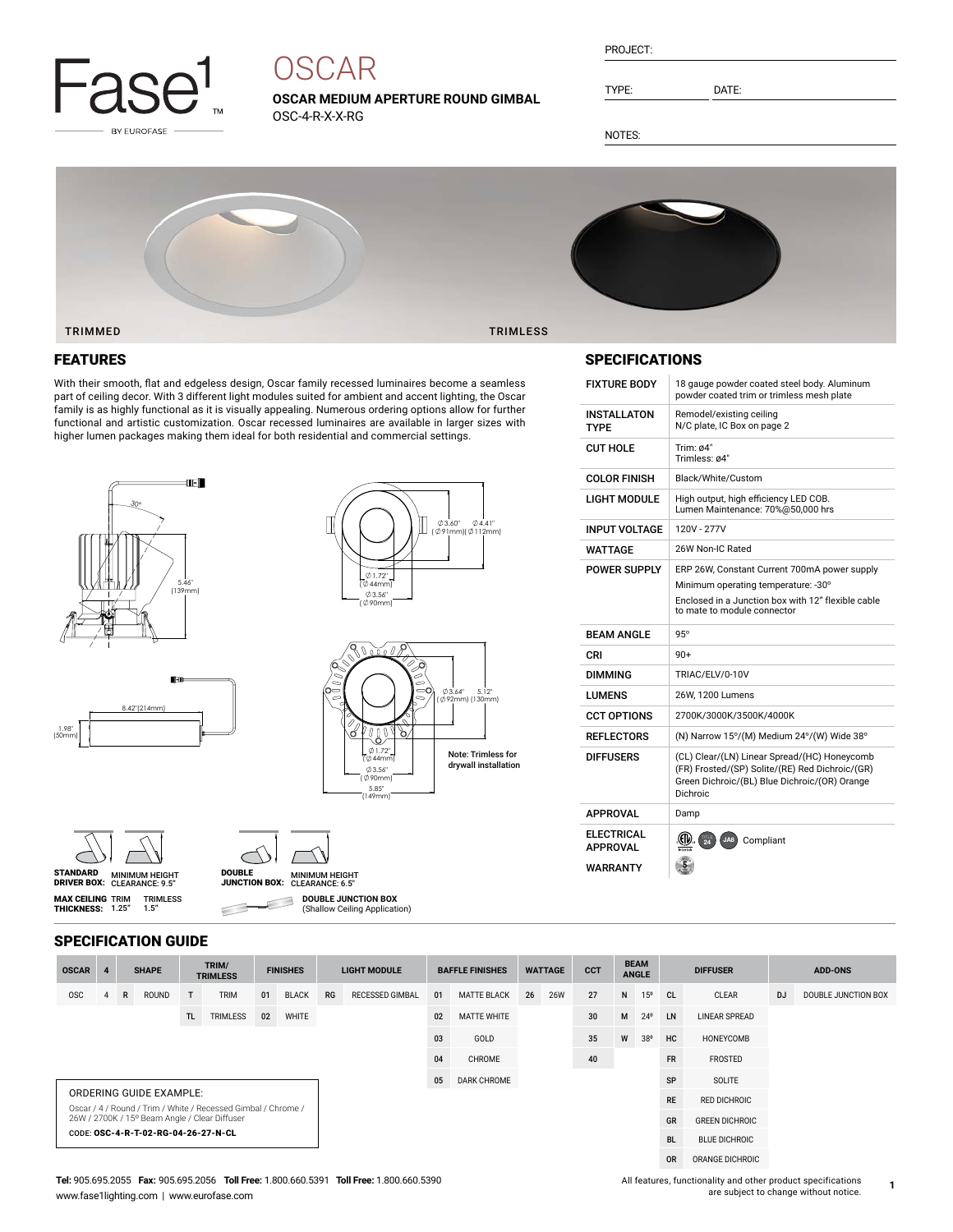

# **OSCAR**

**OSCAR MEDIUM APERTURE ROUND GIMBAL** OSC-4-R-X-X-RG

| PROJECT: |  |
|----------|--|
|          |  |

TYPE: DATE:

NOTES:



#### FEATURES

With their smooth, flat and edgeless design, Oscar family recessed luminaires become a seamless part of ceiling decor. With 3 different light modules suited for ambient and accent lighting, the Oscar family is as highly functional as it is visually appealing. Numerous ordering options allow for further functional and artistic customization. Oscar recessed luminaires are available in larger sizes with higher lumen packages making them ideal for both residential and commercial settings.







**MAX CEILING** TRIM<br>**THICKNESS:** 1.25"



 $\subset$ 

DRIVER BOX: MINIMUM HEIGHT CLEARANCE: 6.5" DOUBLE JUNCTION BOX: **DOUBLE JUNCTION BOX** 3 (Shallow Ceiling Application)

# SPECIFICATIONS

| <b>FIXTURE BODY</b>                  | 18 gauge powder coated steel body. Aluminum<br>powder coated trim or trimless mesh plate                                                                     |
|--------------------------------------|--------------------------------------------------------------------------------------------------------------------------------------------------------------|
| <b>INSTALLATON</b><br>TYPE           | Remodel/existing ceiling<br>N/C plate, IC Box on page 2                                                                                                      |
| <b>CUT HOLE</b>                      | Trim: $64"$<br>Trimless: ø4"                                                                                                                                 |
| <b>COLOR FINISH</b>                  | Black/White/Custom                                                                                                                                           |
| LIGHT MODULE                         | High output, high efficiency LED COB.<br>Lumen Maintenance: 70%@50,000 hrs                                                                                   |
| INPUT VOLTAGE                        | 120V - 277V                                                                                                                                                  |
| <b>WATTAGE</b>                       | 26W Non-IC Rated                                                                                                                                             |
| <b>POWER SUPPLY</b>                  | ERP 26W, Constant Current 700mA power supply                                                                                                                 |
|                                      | Minimum operating temperature: -30°                                                                                                                          |
|                                      | Enclosed in a Junction box with 12" flexible cable<br>to mate to module connector                                                                            |
| <b>BFAM ANGIF</b>                    | $95^\circ$                                                                                                                                                   |
|                                      |                                                                                                                                                              |
| CRI                                  | $90+$                                                                                                                                                        |
| <b>DIMMING</b>                       | TRIAC/ELV/0-10V                                                                                                                                              |
| LUMENS                               | 26W, 1200 Lumens                                                                                                                                             |
| <b>CCT OPTIONS</b>                   | 2700K/3000K/3500K/4000K                                                                                                                                      |
| <b>REFLECTORS</b>                    | (N) Narrow 15°/(M) Medium 24°/(W) Wide 38°                                                                                                                   |
| <b>DIFFUSERS</b>                     | (CL) Clear/(LN) Linear Spread/(HC) Honeycomb<br>(FR) Frosted/(SP) Solite/(RE) Red Dichroic/(GR)<br>Green Dichroic/(BL) Blue Dichroic/(OR) Orange<br>Dichroic |
| <b>APPROVAL</b>                      | Damp                                                                                                                                                         |
| <b>ELECTRICAL</b><br><b>APPROVAL</b> | $\langle 50 \rangle$ ( $\frac{1}{24}$<br>Compliant<br>JA8                                                                                                    |

#### SPECIFICATION GUIDE

TRIMLESS 1.5"

| <b>OSCAR</b>                                                                                                   |  |   | <b>SHAPE</b> |    | TRIM/<br><b>TRIMLESS</b> |    | <b>FINISHES</b> |             | <b>LIGHT MODULE</b>    |              | <b>BAFFLE FINISHES</b> | <b>WATTAGE</b>       |            | <b>CCT</b>            | <b>BEAM</b><br><b>ANGLE</b> |              | <b>DIFFUSER</b> |       | <b>ADD-ONS</b> |                     |
|----------------------------------------------------------------------------------------------------------------|--|---|--------------|----|--------------------------|----|-----------------|-------------|------------------------|--------------|------------------------|----------------------|------------|-----------------------|-----------------------------|--------------|-----------------|-------|----------------|---------------------|
| <b>OSC</b>                                                                                                     |  | R | <b>ROUND</b> | T  | <b>TRIM</b>              | 01 | <b>BLACK</b>    | RG          | <b>RECESSED GIMBAL</b> | 01           | <b>MATTE BLACK</b>     | 26                   | <b>26W</b> | 27                    | N                           | $15^{\circ}$ | CL              | CLEAR | <b>DJ</b>      | DOUBLE JUNCTION BOX |
| TRIMLESS<br>TL.<br>WHITE<br>02                                                                                 |  |   |              | 02 | <b>MATTE WHITE</b>       |    |                 | 30          | M                      | $24^{\circ}$ | <b>LN</b>              | <b>LINEAR SPREAD</b> |            |                       |                             |              |                 |       |                |                     |
|                                                                                                                |  |   |              |    |                          | 03 | GOLD            |             |                        | 35           | W                      | 38 <sup>o</sup>      | HC         | HONEYCOMB             |                             |              |                 |       |                |                     |
|                                                                                                                |  |   |              |    |                          | 04 | CHROME          |             |                        | 40           |                        |                      |            | FROSTED               |                             |              |                 |       |                |                     |
|                                                                                                                |  |   |              |    |                          |    | 05              | DARK CHROME |                        |              |                        |                      |            | SP                    | SOLITE                      |              |                 |       |                |                     |
| ORDERING GUIDE EXAMPLE:                                                                                        |  |   |              |    |                          |    |                 |             |                        |              |                        |                      | <b>RE</b>  | <b>RED DICHROIC</b>   |                             |              |                 |       |                |                     |
| Oscar / 4 / Round / Trim / White / Recessed Gimbal / Chrome /<br>26W / 2700K / 15° Beam Angle / Clear Diffuser |  |   |              |    |                          |    |                 |             |                        |              |                        |                      | GR         | <b>GREEN DICHROIC</b> |                             |              |                 |       |                |                     |
| CODE: OSC-4-R-T-02-RG-04-26-27-N-CL                                                                            |  |   |              |    |                          |    |                 |             |                        |              |                        |                      | <b>BL</b>  | <b>BLUE DICHROIC</b>  |                             |              |                 |       |                |                     |
|                                                                                                                |  |   |              |    |                          |    |                 |             |                        |              |                        |                      |            | <b>OR</b>             | ORANGE DICHROIC             |              |                 |       |                |                     |

#### **Tel:** 905.695.2055 **Fax:** 905.695.2056 **Toll Free:** 1.800.660.5391 **Toll Free:** 1.800.660.5390 www.fase1lighting.com | www.eurofase.com

All features, functionality and other product specifications are subject to change without notice.

**1**